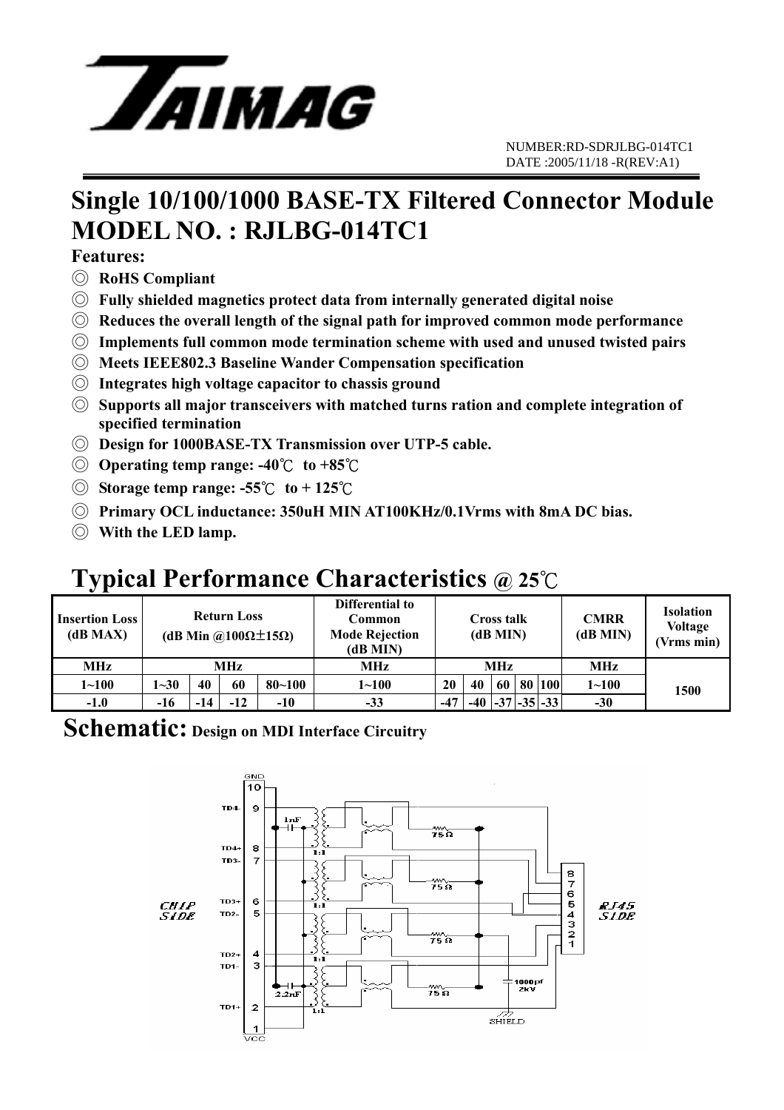

## **Single 10/100/1000 BASE-TX Filtered Connector Module MODEL NO. : RJLBG-014TC1**

### **Features:**

- ◎ **RoHS Compliant**
- ◎ **Fully shielded magnetics protect data from internally generated digital noise**
- ◎ **Reduces the overall length of the signal path for improved common mode performance**
- ◎ **Implements full common mode termination scheme with used and unused twisted pairs**
- ◎ **Meets IEEE802.3 Baseline Wander Compensation specification**
- ◎ **Integrates high voltage capacitor to chassis ground**
- ◎ **Supports all major transceivers with matched turns ration and complete integration of specified termination**
- ◎ **Design for 1000BASE-TX Transmission over UTP-5 cable.**
- ◎ **Operating temp range: -40**℃ **to +85**℃
- ◎ **Storage temp range: -55**℃ **to + 125**℃
- ◎ **Primary OCL inductance: 350uH MIN AT100KHz/0.1Vrms with 8mA DC bias.**
- ◎ **With the LED lamp.**

# **Typical Performance Characteristics @ 25**℃

| <b>Insertion Loss</b><br>(dB MAX) | <b>Return Loss</b><br>(dB Min @100 $\Omega \pm 15\Omega$ ) |     |       |            | Differential to<br>Common<br><b>Mode Rejection</b><br>(dB MIN) | <b>Cross talk</b><br>(dB MIN) |                         |  |  | <b>CMRR</b><br>(dB MIN) | <b>Isolation</b><br><b>Voltage</b><br>(Vrms min) |      |
|-----------------------------------|------------------------------------------------------------|-----|-------|------------|----------------------------------------------------------------|-------------------------------|-------------------------|--|--|-------------------------|--------------------------------------------------|------|
| <b>MHz</b>                        | MHz                                                        |     |       |            | MHz                                                            | <b>MHz</b>                    |                         |  |  |                         | MHz                                              |      |
| $1 - 100$                         | $1 - 30$                                                   | 40  | 60    | $80 - 100$ | $1 - 100$                                                      | 20                            | 40                      |  |  | 60 80 100               | $1 - 100$                                        | 1500 |
| $-1.0$                            | -16                                                        | -14 | $-12$ | $-10$      | $-33$                                                          | -47                           | $-40$ $-37$ $-35$ $-33$ |  |  |                         | $-30$                                            |      |

### **Schematic: Design on MDI Interface Circuitry**

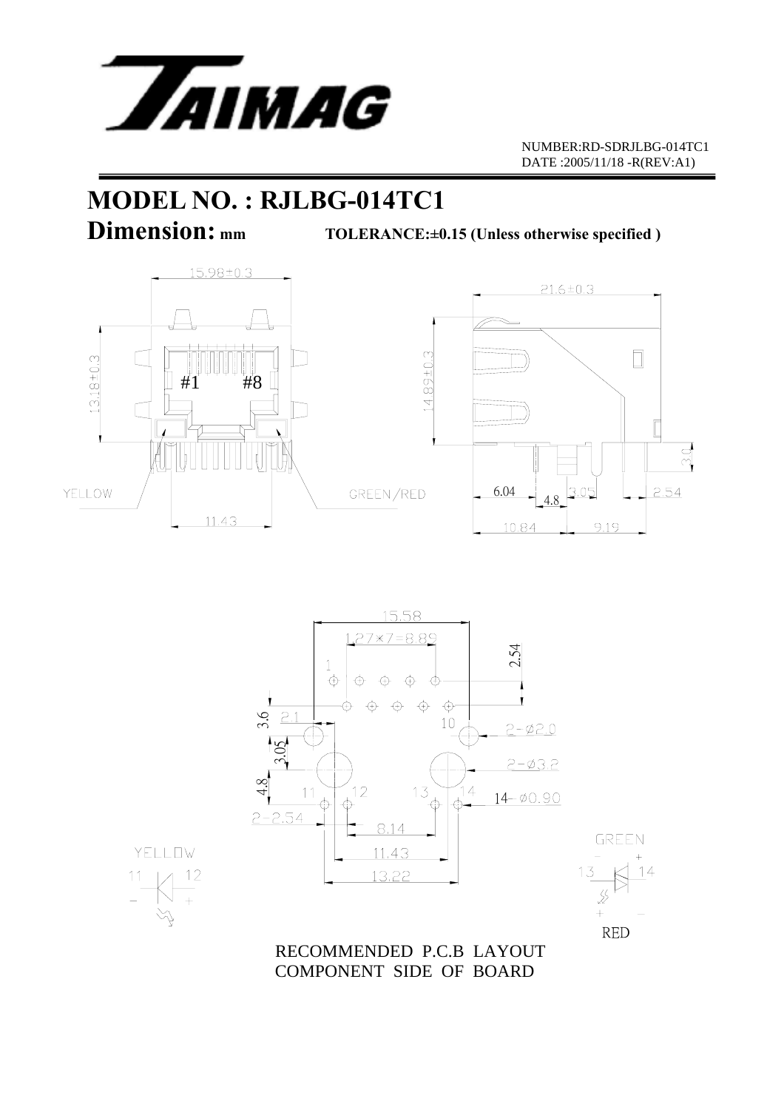

# **MODEL NO. : RJLBG-014TC1**

**Dimension:** mm TOLERANCE:±0.15 (Unless otherwise specified )







RECOMMENDED P.C.B LAYOUT



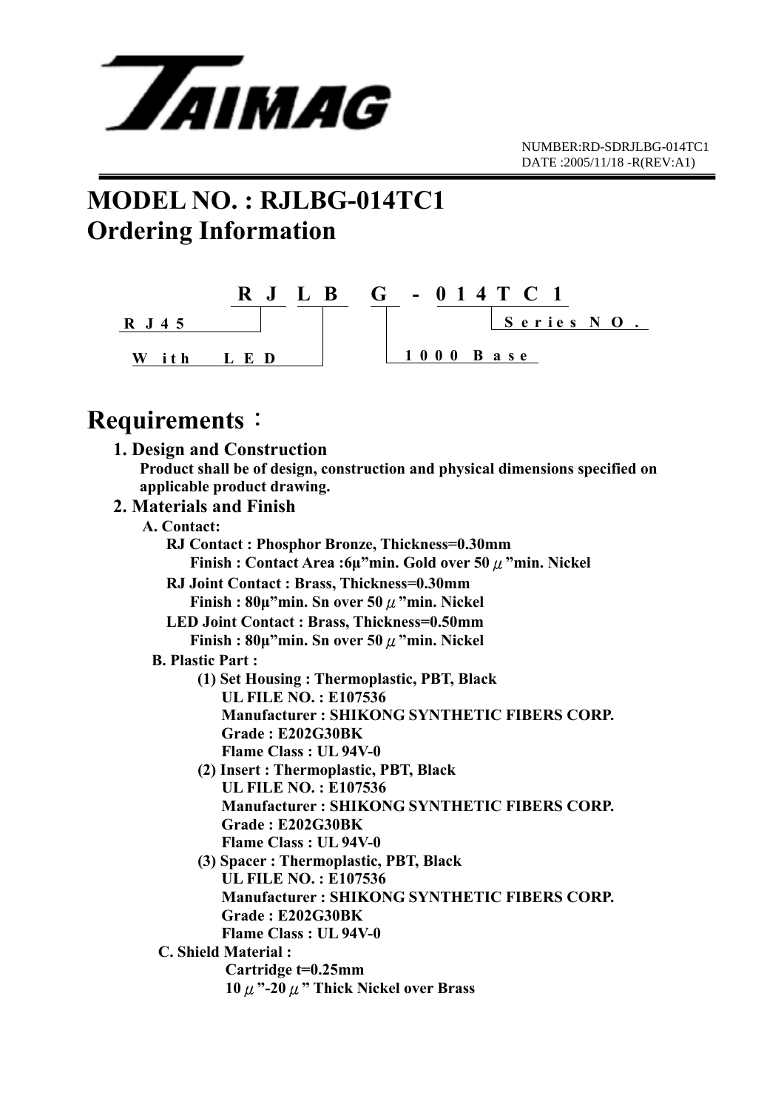

# **MODEL NO. : RJLBG-014TC1 Ordering Information**



### **Requirements**:

| Requirements .                                                                |
|-------------------------------------------------------------------------------|
| 1. Design and Construction                                                    |
| Product shall be of design, construction and physical dimensions specified on |
| applicable product drawing.                                                   |
| 2. Materials and Finish                                                       |
| A. Contact:                                                                   |
| RJ Contact: Phosphor Bronze, Thickness=0.30mm                                 |
| Finish: Contact Area: $6\mu$ "min. Gold over 50 $\mu$ "min. Nickel            |
| RJ Joint Contact: Brass, Thickness=0.30mm                                     |
| Finish : $80\mu$ "min. Sn over 50 $\mu$ "min. Nickel                          |
| <b>LED Joint Contact: Brass, Thickness=0.50mm</b>                             |
| Finish: $80\mu$ "min. Sn over 50 $\mu$ "min. Nickel                           |
| <b>B. Plastic Part:</b>                                                       |
| (1) Set Housing: Thermoplastic, PBT, Black                                    |
| <b>UL FILE NO.: E107536</b>                                                   |
| <b>Manufacturer: SHIKONG SYNTHETIC FIBERS CORP.</b>                           |
| Grade: E202G30BK                                                              |
| Flame Class: UL 94V-0                                                         |
| (2) Insert: Thermoplastic, PBT, Black                                         |
| <b>UL FILE NO.: E107536</b>                                                   |
| <b>Manufacturer: SHIKONG SYNTHETIC FIBERS CORP.</b>                           |
| Grade: E202G30BK                                                              |
| Flame Class: UL 94V-0                                                         |
| (3) Spacer: Thermoplastic, PBT, Black<br><b>UL FILE NO.: E107536</b>          |
| <b>Manufacturer: SHIKONG SYNTHETIC FIBERS CORP.</b>                           |
| Grade: E202G30BK                                                              |
| Flame Class: UL 94V-0                                                         |
| <b>C. Shield Material:</b>                                                    |
| Cartridge t=0.25mm                                                            |
| $10 \mu$ "-20 $\mu$ " Thick Nickel over Brass                                 |
|                                                                               |
|                                                                               |
|                                                                               |
|                                                                               |
|                                                                               |